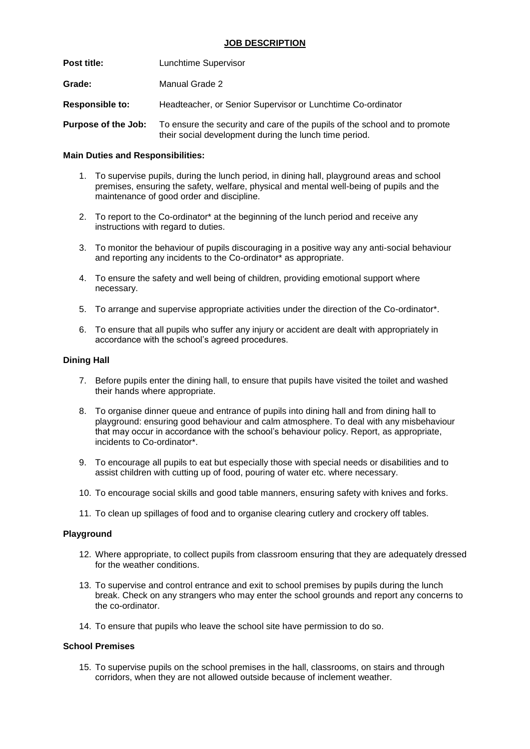| <b>Post title:</b>     | Lunchtime Supervisor                                                                                                                 |
|------------------------|--------------------------------------------------------------------------------------------------------------------------------------|
| Grade:                 | Manual Grade 2                                                                                                                       |
| <b>Responsible to:</b> | Headteacher, or Senior Supervisor or Lunchtime Co-ordinator                                                                          |
| Purpose of the Job:    | To ensure the security and care of the pupils of the school and to promote<br>their social development during the lunch time period. |

## **Main Duties and Responsibilities:**

- 1. To supervise pupils, during the lunch period, in dining hall, playground areas and school premises, ensuring the safety, welfare, physical and mental well-being of pupils and the maintenance of good order and discipline.
- 2. To report to the Co-ordinator\* at the beginning of the lunch period and receive any instructions with regard to duties.
- 3. To monitor the behaviour of pupils discouraging in a positive way any anti-social behaviour and reporting any incidents to the Co-ordinator\* as appropriate.
- 4. To ensure the safety and well being of children, providing emotional support where necessary.
- 5. To arrange and supervise appropriate activities under the direction of the Co-ordinator\*.
- 6. To ensure that all pupils who suffer any injury or accident are dealt with appropriately in accordance with the school's agreed procedures.

## **Dining Hall**

- 7. Before pupils enter the dining hall, to ensure that pupils have visited the toilet and washed their hands where appropriate.
- 8. To organise dinner queue and entrance of pupils into dining hall and from dining hall to playground: ensuring good behaviour and calm atmosphere. To deal with any misbehaviour that may occur in accordance with the school's behaviour policy. Report, as appropriate, incidents to Co-ordinator\*.
- 9. To encourage all pupils to eat but especially those with special needs or disabilities and to assist children with cutting up of food, pouring of water etc. where necessary.
- 10. To encourage social skills and good table manners, ensuring safety with knives and forks.
- 11. To clean up spillages of food and to organise clearing cutlery and crockery off tables.

## **Playground**

- 12. Where appropriate, to collect pupils from classroom ensuring that they are adequately dressed for the weather conditions.
- 13. To supervise and control entrance and exit to school premises by pupils during the lunch break. Check on any strangers who may enter the school grounds and report any concerns to the co-ordinator.
- 14. To ensure that pupils who leave the school site have permission to do so.

## **School Premises**

15. To supervise pupils on the school premises in the hall, classrooms, on stairs and through corridors, when they are not allowed outside because of inclement weather.